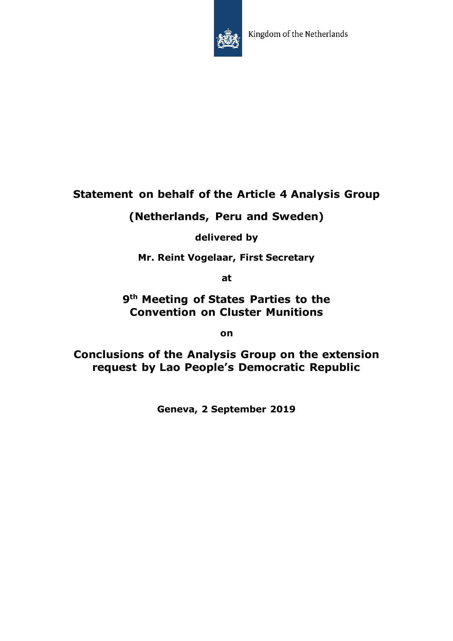

## **Statement on behalf of the Article 4 Analysis Group**

**(Netherlands, Peru and Sweden)**

**delivered by**

**Mr. Reint Vogelaar, First Secretary**

**at**

**9th Meeting of States Parties to the Convention on Cluster Munitions**

**on**

**Conclusions of the Analysis Group on the extension request by Lao People's Democratic Republic**

**Geneva, 2 September 2019**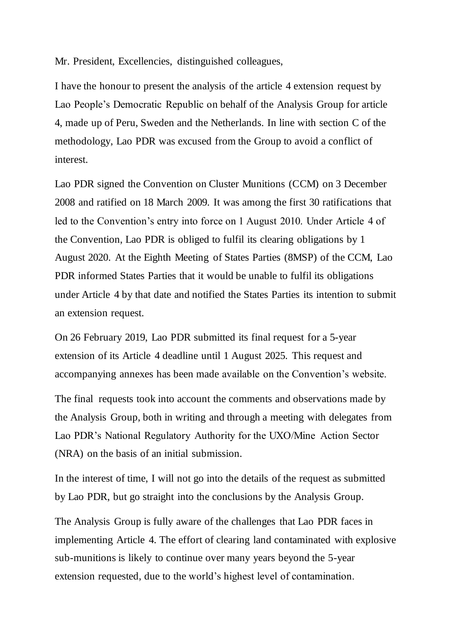Mr. President, Excellencies, distinguished colleagues,

I have the honour to present the analysis of the article 4 extension request by Lao People's Democratic Republic on behalf of the Analysis Group for article 4, made up of Peru, Sweden and the Netherlands. In line with section C of the methodology, Lao PDR was excused from the Group to avoid a conflict of interest.

Lao PDR signed the Convention on Cluster Munitions (CCM) on 3 December 2008 and ratified on 18 March 2009. It was among the first 30 ratifications that led to the Convention's entry into force on 1 August 2010. Under Article 4 of the Convention, Lao PDR is obliged to fulfil its clearing obligations by 1 August 2020. At the Eighth Meeting of States Parties (8MSP) of the CCM, Lao PDR informed States Parties that it would be unable to fulfil its obligations under Article 4 by that date and notified the States Parties its intention to submit an extension request.

On 26 February 2019, Lao PDR submitted its final request for a 5-year extension of its Article 4 deadline until 1 August 2025. This request and accompanying annexes has been made available on the Convention's website.

The final requests took into account the comments and observations made by the Analysis Group, both in writing and through a meeting with delegates from Lao PDR's National Regulatory Authority for the UXO/Mine Action Sector (NRA) on the basis of an initial submission.

In the interest of time, I will not go into the details of the request as submitted by Lao PDR, but go straight into the conclusions by the Analysis Group.

The Analysis Group is fully aware of the challenges that Lao PDR faces in implementing Article 4. The effort of clearing land contaminated with explosive sub-munitions is likely to continue over many years beyond the 5-year extension requested, due to the world's highest level of contamination.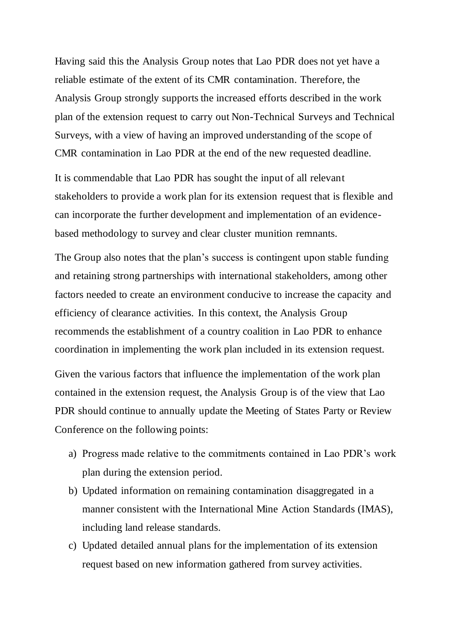Having said this the Analysis Group notes that Lao PDR does not yet have a reliable estimate of the extent of its CMR contamination. Therefore, the Analysis Group strongly supports the increased efforts described in the work plan of the extension request to carry out Non-Technical Surveys and Technical Surveys, with a view of having an improved understanding of the scope of CMR contamination in Lao PDR at the end of the new requested deadline.

It is commendable that Lao PDR has sought the input of all relevant stakeholders to provide a work plan for its extension request that is flexible and can incorporate the further development and implementation of an evidencebased methodology to survey and clear cluster munition remnants.

The Group also notes that the plan's success is contingent upon stable funding and retaining strong partnerships with international stakeholders, among other factors needed to create an environment conducive to increase the capacity and efficiency of clearance activities. In this context, the Analysis Group recommends the establishment of a country coalition in Lao PDR to enhance coordination in implementing the work plan included in its extension request.

Given the various factors that influence the implementation of the work plan contained in the extension request, the Analysis Group is of the view that Lao PDR should continue to annually update the Meeting of States Party or Review Conference on the following points:

- a) Progress made relative to the commitments contained in Lao PDR's work plan during the extension period.
- b) Updated information on remaining contamination disaggregated in a manner consistent with the International Mine Action Standards (IMAS), including land release standards.
- c) Updated detailed annual plans for the implementation of its extension request based on new information gathered from survey activities.